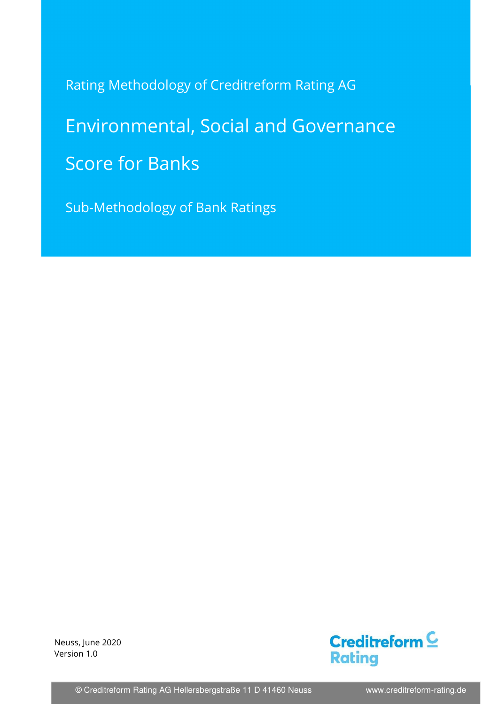Rating Methodology of Creditreform Rating AG

# Environmental, Social and Governance Score for Banks

Sub-Methodology of Bank Ratings

 Version 1.0 Neuss, June 2020



© Creditreform Rating AG Hellersbergstraße 11 D 41460 Neuss www.creditreform-rating.de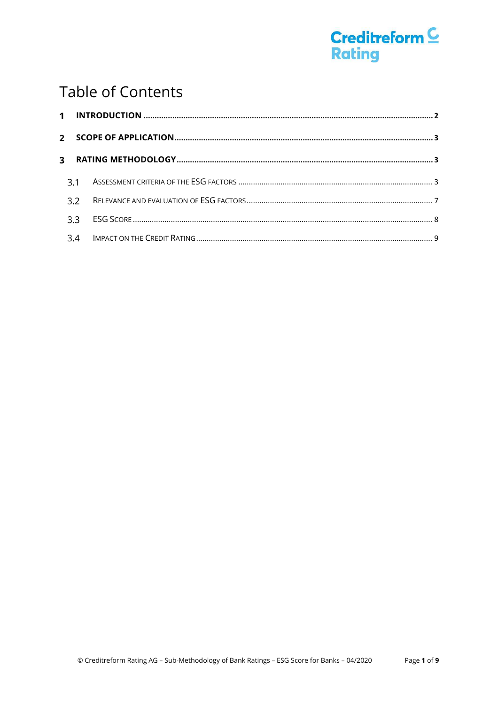

# **Table of Contents**

| 3.3 |  |
|-----|--|
|     |  |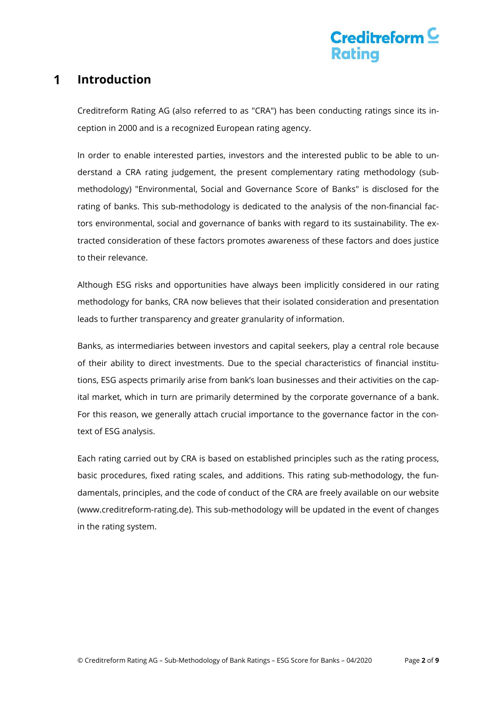# Creditreform  $\subseteq$

#### 1 **Introduction**

Creditreform Rating AG (also referred to as "CRA") has been conducting ratings since its inception in 2000 and is a recognized European rating agency.

In order to enable interested parties, investors and the interested public to be able to understand a CRA rating judgement, the present complementary rating methodology (submethodology) "Environmental, Social and Governance Score of Banks" is disclosed for the rating of banks. This sub-methodology is dedicated to the analysis of the non-financial factors environmental, social and governance of banks with regard to its sustainability. The extracted consideration of these factors promotes awareness of these factors and does justice to their relevance.

Although ESG risks and opportunities have always been implicitly considered in our rating methodology for banks, CRA now believes that their isolated consideration and presentation leads to further transparency and greater granularity of information.

Banks, as intermediaries between investors and capital seekers, play a central role because of their ability to direct investments. Due to the special characteristics of financial institutions, ESG aspects primarily arise from bank's loan businesses and their activities on the capital market, which in turn are primarily determined by the corporate governance of a bank. For this reason, we generally attach crucial importance to the governance factor in the context of ESG analysis.

Each rating carried out by CRA is based on established principles such as the rating process, basic procedures, fixed rating scales, and additions. This rating sub-methodology, the fundamentals, principles, and the code of conduct of the CRA are freely available on our website (www.creditreform-rating.de). This sub-methodology will be updated in the event of changes in the rating system.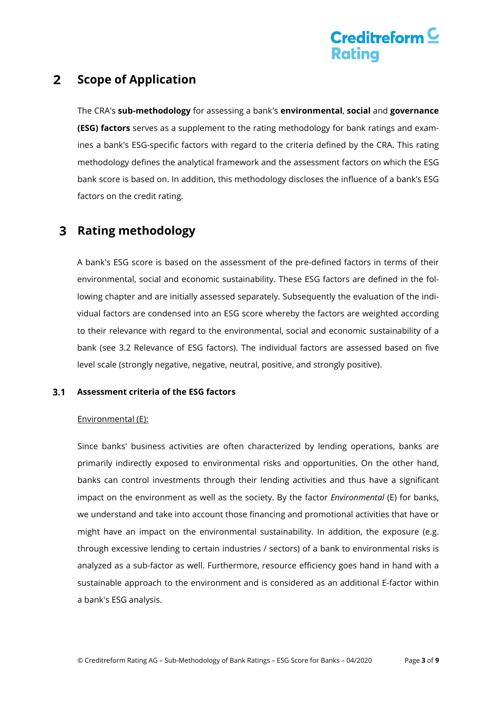# Creditreform  $\subseteq$ Ratina

#### $2<sup>1</sup>$ **Scope of Application**

The CRA's **sub-methodology** for assessing a bank's **environmental**, **social** and **governance (ESG) factors** serves as a supplement to the rating methodology for bank ratings and examines a bank's ESG-specific factors with regard to the criteria defined by the CRA. This rating methodology defines the analytical framework and the assessment factors on which the ESG bank score is based on. In addition, this methodology discloses the influence of a bank's ESG factors on the credit rating.

#### **Rating methodology**  3

A bank's ESG score is based on the assessment of the pre-defined factors in terms of their environmental, social and economic sustainability. These ESG factors are defined in the following chapter and are initially assessed separately. Subsequently the evaluation of the individual factors are condensed into an ESG score whereby the factors are weighted according to their relevance with regard to the environmental, social and economic sustainability of a bank (see 3.2 Relevance of ESG factors). The individual factors are assessed based on five level scale (strongly negative, negative, neutral, positive, and strongly positive).

#### $3.1$ **Assessment criteria of the ESG factors**

### Environmental (E):

Since banks' business activities are often characterized by lending operations, banks are primarily indirectly exposed to environmental risks and opportunities. On the other hand, banks can control investments through their lending activities and thus have a significant impact on the environment as well as the society. By the factor *Environmental* (E) for banks, we understand and take into account those financing and promotional activities that have or might have an impact on the environmental sustainability. In addition, the exposure (e.g. through excessive lending to certain industries / sectors) of a bank to environmental risks is analyzed as a sub-factor as well. Furthermore, resource efficiency goes hand in hand with a sustainable approach to the environment and is considered as an additional E-factor within a bank's ESG analysis.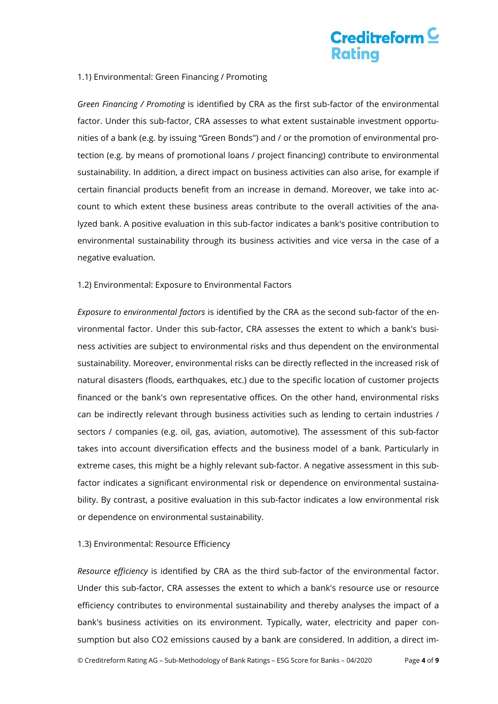# Creditreform  $\subseteq$ Ratina

### 1.1) Environmental: Green Financing / Promoting

*Green Financing / Promoting* is identified by CRA as the first sub-factor of the environmental factor. Under this sub-factor, CRA assesses to what extent sustainable investment opportunities of a bank (e.g. by issuing "Green Bonds") and / or the promotion of environmental protection (e.g. by means of promotional loans / project financing) contribute to environmental sustainability. In addition, a direct impact on business activities can also arise, for example if certain financial products benefit from an increase in demand. Moreover, we take into account to which extent these business areas contribute to the overall activities of the analyzed bank. A positive evaluation in this sub-factor indicates a bank's positive contribution to environmental sustainability through its business activities and vice versa in the case of a negative evaluation.

### 1.2) Environmental: Exposure to Environmental Factors

*Exposure to environmental factors* is identified by the CRA as the second sub-factor of the environmental factor. Under this sub-factor, CRA assesses the extent to which a bank's business activities are subject to environmental risks and thus dependent on the environmental sustainability. Moreover, environmental risks can be directly reflected in the increased risk of natural disasters (floods, earthquakes, etc.) due to the specific location of customer projects financed or the bank's own representative offices. On the other hand, environmental risks can be indirectly relevant through business activities such as lending to certain industries / sectors / companies (e.g. oil, gas, aviation, automotive). The assessment of this sub-factor takes into account diversification effects and the business model of a bank. Particularly in extreme cases, this might be a highly relevant sub-factor. A negative assessment in this subfactor indicates a significant environmental risk or dependence on environmental sustainability. By contrast, a positive evaluation in this sub-factor indicates a low environmental risk or dependence on environmental sustainability.

### 1.3) Environmental: Resource Efficiency

*Resource efficiency* is identified by CRA as the third sub-factor of the environmental factor. Under this sub-factor, CRA assesses the extent to which a bank's resource use or resource efficiency contributes to environmental sustainability and thereby analyses the impact of a bank's business activities on its environment. Typically, water, electricity and paper consumption but also CO2 emissions caused by a bank are considered. In addition, a direct im-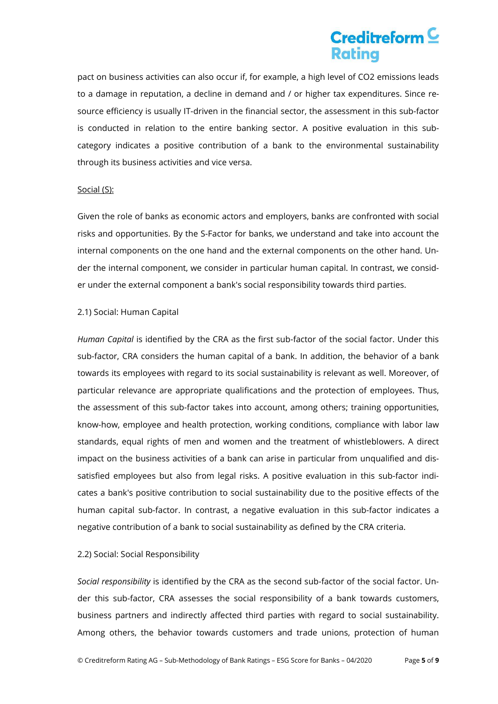# Creditreform<sup>C</sup> Ratina

pact on business activities can also occur if, for example, a high level of CO2 emissions leads to a damage in reputation, a decline in demand and / or higher tax expenditures. Since resource efficiency is usually IT-driven in the financial sector, the assessment in this sub-factor is conducted in relation to the entire banking sector. A positive evaluation in this subcategory indicates a positive contribution of a bank to the environmental sustainability through its business activities and vice versa.

#### Social (S):

Given the role of banks as economic actors and employers, banks are confronted with social risks and opportunities. By the S-Factor for banks, we understand and take into account the internal components on the one hand and the external components on the other hand. Under the internal component, we consider in particular human capital. In contrast, we consider under the external component a bank's social responsibility towards third parties.

### 2.1) Social: Human Capital

*Human Capital* is identified by the CRA as the first sub-factor of the social factor. Under this sub-factor, CRA considers the human capital of a bank. In addition, the behavior of a bank towards its employees with regard to its social sustainability is relevant as well. Moreover, of particular relevance are appropriate qualifications and the protection of employees. Thus, the assessment of this sub-factor takes into account, among others; training opportunities, know-how, employee and health protection, working conditions, compliance with labor law standards, equal rights of men and women and the treatment of whistleblowers. A direct impact on the business activities of a bank can arise in particular from unqualified and dissatisfied employees but also from legal risks. A positive evaluation in this sub-factor indicates a bank's positive contribution to social sustainability due to the positive effects of the human capital sub-factor. In contrast, a negative evaluation in this sub-factor indicates a negative contribution of a bank to social sustainability as defined by the CRA criteria.

### 2.2) Social: Social Responsibility

*Social responsibility* is identified by the CRA as the second sub-factor of the social factor. Under this sub-factor, CRA assesses the social responsibility of a bank towards customers, business partners and indirectly affected third parties with regard to social sustainability. Among others, the behavior towards customers and trade unions, protection of human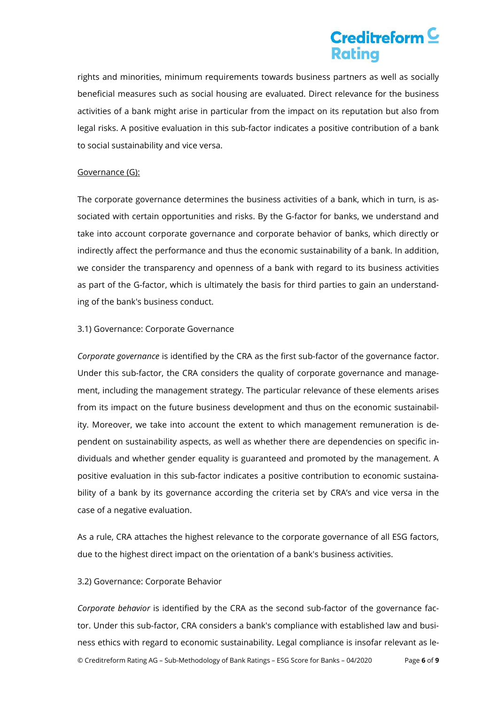# Creditreform  $\subseteq$ Ratina

rights and minorities, minimum requirements towards business partners as well as socially beneficial measures such as social housing are evaluated. Direct relevance for the business activities of a bank might arise in particular from the impact on its reputation but also from legal risks. A positive evaluation in this sub-factor indicates a positive contribution of a bank to social sustainability and vice versa.

### Governance (G):

The corporate governance determines the business activities of a bank, which in turn, is associated with certain opportunities and risks. By the G-factor for banks, we understand and take into account corporate governance and corporate behavior of banks, which directly or indirectly affect the performance and thus the economic sustainability of a bank. In addition, we consider the transparency and openness of a bank with regard to its business activities as part of the G-factor, which is ultimately the basis for third parties to gain an understanding of the bank's business conduct.

### 3.1) Governance: Corporate Governance

*Corporate governance* is identified by the CRA as the first sub-factor of the governance factor. Under this sub-factor, the CRA considers the quality of corporate governance and management, including the management strategy. The particular relevance of these elements arises from its impact on the future business development and thus on the economic sustainability. Moreover, we take into account the extent to which management remuneration is dependent on sustainability aspects, as well as whether there are dependencies on specific individuals and whether gender equality is guaranteed and promoted by the management. A positive evaluation in this sub-factor indicates a positive contribution to economic sustainability of a bank by its governance according the criteria set by CRA's and vice versa in the case of a negative evaluation.

As a rule, CRA attaches the highest relevance to the corporate governance of all ESG factors, due to the highest direct impact on the orientation of a bank's business activities.

#### 3.2) Governance: Corporate Behavior

© Creditreform Rating AG – Sub-Methodology of Bank Ratings – ESG Score for Banks – 04/2020 Page **6** of **9** *Corporate behavior* is identified by the CRA as the second sub-factor of the governance factor. Under this sub-factor, CRA considers a bank's compliance with established law and business ethics with regard to economic sustainability. Legal compliance is insofar relevant as le-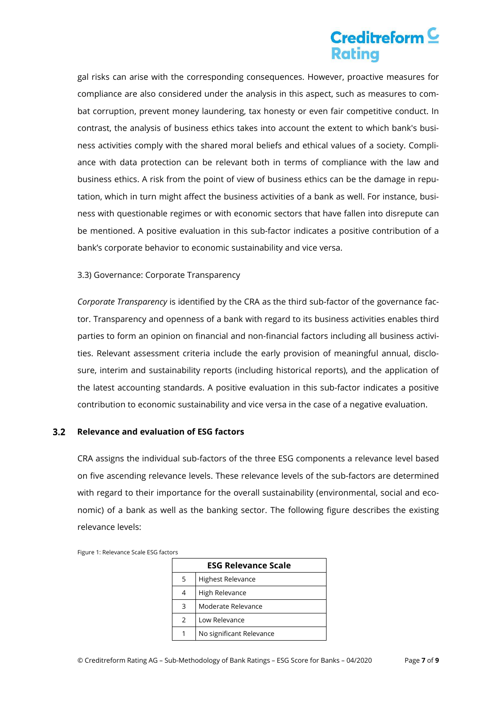# Creditreform<sup>C</sup> Ratina

gal risks can arise with the corresponding consequences. However, proactive measures for compliance are also considered under the analysis in this aspect, such as measures to combat corruption, prevent money laundering, tax honesty or even fair competitive conduct. In contrast, the analysis of business ethics takes into account the extent to which bank's business activities comply with the shared moral beliefs and ethical values of a society. Compliance with data protection can be relevant both in terms of compliance with the law and business ethics. A risk from the point of view of business ethics can be the damage in reputation, which in turn might affect the business activities of a bank as well. For instance, business with questionable regimes or with economic sectors that have fallen into disrepute can be mentioned. A positive evaluation in this sub-factor indicates a positive contribution of a bank's corporate behavior to economic sustainability and vice versa.

### 3.3) Governance: Corporate Transparency

*Corporate Transparency* is identified by the CRA as the third sub-factor of the governance factor. Transparency and openness of a bank with regard to its business activities enables third parties to form an opinion on financial and non-financial factors including all business activities. Relevant assessment criteria include the early provision of meaningful annual, disclosure, interim and sustainability reports (including historical reports), and the application of the latest accounting standards. A positive evaluation in this sub-factor indicates a positive contribution to economic sustainability and vice versa in the case of a negative evaluation.

#### $3.2$ **Relevance and evaluation of ESG factors**

CRA assigns the individual sub-factors of the three ESG components a relevance level based on five ascending relevance levels. These relevance levels of the sub-factors are determined with regard to their importance for the overall sustainability (environmental, social and economic) of a bank as well as the banking sector. The following figure describes the existing relevance levels:

| <b>ESG Relevance Scale</b> |                          |  |  |  |
|----------------------------|--------------------------|--|--|--|
| 5                          | <b>Highest Relevance</b> |  |  |  |
| 4                          | High Relevance           |  |  |  |
| 3                          | Moderate Relevance       |  |  |  |
| $\mathcal{P}$              | Low Relevance            |  |  |  |
|                            | No significant Relevance |  |  |  |

Figure 1: Relevance Scale ESG factors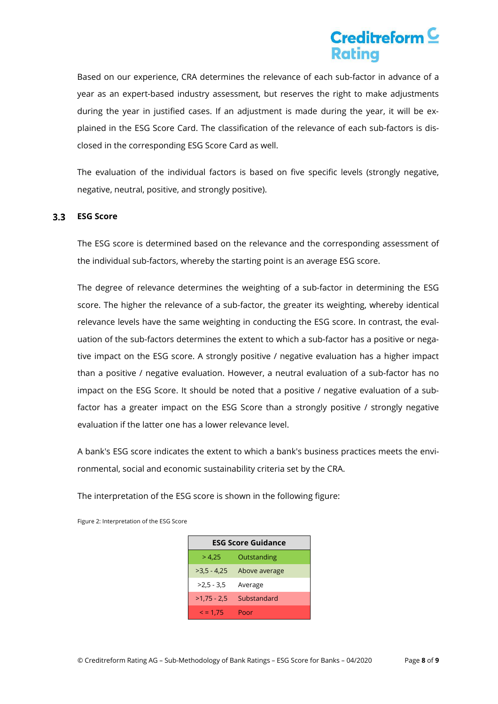# Creditreform<sup>C</sup> Ratina

Based on our experience, CRA determines the relevance of each sub-factor in advance of a year as an expert-based industry assessment, but reserves the right to make adjustments during the year in justified cases. If an adjustment is made during the year, it will be explained in the ESG Score Card. The classification of the relevance of each sub-factors is disclosed in the corresponding ESG Score Card as well.

The evaluation of the individual factors is based on five specific levels (strongly negative, negative, neutral, positive, and strongly positive).

#### **ESG Score**   $3.3$

The ESG score is determined based on the relevance and the corresponding assessment of the individual sub-factors, whereby the starting point is an average ESG score.

The degree of relevance determines the weighting of a sub-factor in determining the ESG score. The higher the relevance of a sub-factor, the greater its weighting, whereby identical relevance levels have the same weighting in conducting the ESG score. In contrast, the evaluation of the sub-factors determines the extent to which a sub-factor has a positive or negative impact on the ESG score. A strongly positive / negative evaluation has a higher impact than a positive / negative evaluation. However, a neutral evaluation of a sub-factor has no impact on the ESG Score. It should be noted that a positive / negative evaluation of a subfactor has a greater impact on the ESG Score than a strongly positive / strongly negative evaluation if the latter one has a lower relevance level.

A bank's ESG score indicates the extent to which a bank's business practices meets the environmental, social and economic sustainability criteria set by the CRA.

The interpretation of the ESG score is shown in the following figure:

| <b>ESG Score Guidance</b> |               |  |  |
|---------------------------|---------------|--|--|
| > 4.25                    | Outstanding   |  |  |
| $>3.5 - 4.25$             | Above average |  |  |
| $>2.5 - 3.5$              | Average       |  |  |
| $>1,75 - 2,5$             | Substandard   |  |  |
| $\le$ = 1.75              | Poor          |  |  |

Figure 2: Interpretation of the ESG Score